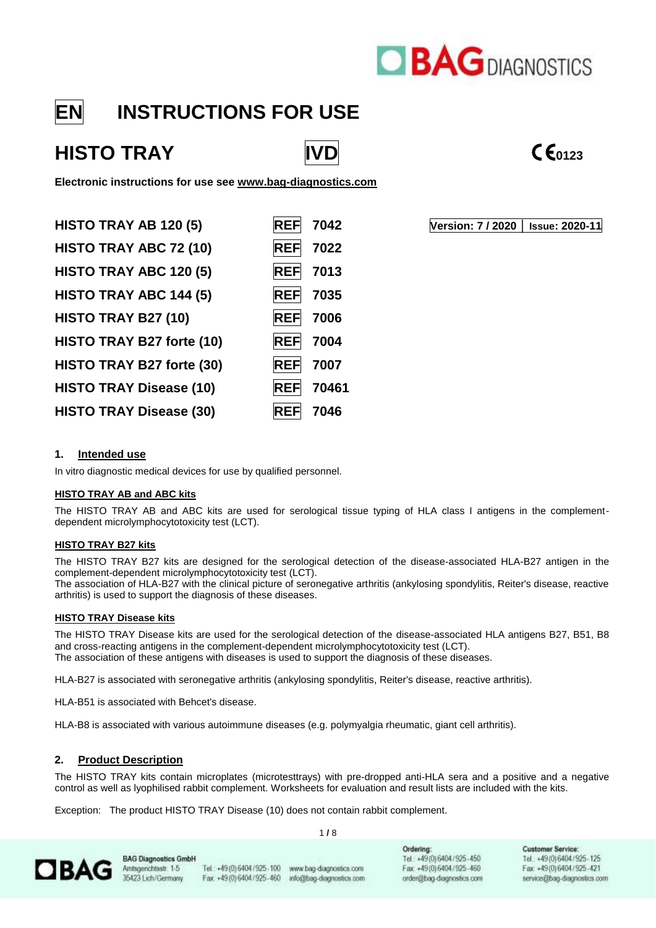

## **EN INSTRUCTIONS FOR USE**

# HISTO TRAY **IVD CE**<sub>0123</sub>



**Electronic instructions for use see [www.bag-diagnostics.com](http://www.bag-diagnostics.com/)**

| 7042<br><b>REF</b>  |
|---------------------|
| 7022<br><b>REF</b>  |
| 7013<br><b>REF</b>  |
| <b>REF</b><br>7035  |
| 7006<br><b>REF</b>  |
| 7004<br><b>REF</b>  |
| <b>REF</b><br>7007  |
| 70461<br><b>REF</b> |
| 7046                |
|                     |

**HISTO TRAY AB 120 (5) REF 7042 Version: 7 / 2020 │ Issue: 2020-11**

#### **1. Intended use**

In vitro diagnostic medical devices for use by qualified personnel.

#### **HISTO TRAY AB and ABC kits**

The HISTO TRAY AB and ABC kits are used for serological tissue typing of HLA class I antigens in the complementdependent microlymphocytotoxicity test (LCT).

#### **HISTO TRAY B27 kits**

The HISTO TRAY B27 kits are designed for the serological detection of the disease-associated HLA-B27 antigen in the complement-dependent microlymphocytotoxicity test (LCT).

The association of HLA-B27 with the clinical picture of seronegative arthritis (ankylosing spondylitis, Reiter's disease, reactive arthritis) is used to support the diagnosis of these diseases.

#### **HISTO TRAY Disease kits**

The HISTO TRAY Disease kits are used for the serological detection of the disease-associated HLA antigens B27, B51, B8 and cross-reacting antigens in the complement-dependent microlymphocytotoxicity test (LCT). The association of these antigens with diseases is used to support the diagnosis of these diseases.

HLA-B27 is associated with seronegative arthritis (ankylosing spondylitis, Reiter's disease, reactive arthritis).

HLA-B51 is associated with Behcet's disease.

HLA-B8 is associated with various autoimmune diseases (e.g. polymyalgia rheumatic, giant cell arthritis).

#### **2. Product Description**

The HISTO TRAY kits contain microplates (microtesttrays) with pre-dropped anti-HLA sera and a positive and a negative control as well as lyophilised rabbit complement. Worksheets for evaluation and result lists are included with the kits.

1 **/** 8

Exception: The product HISTO TRAY Disease (10) does not contain rabbit complement.

**OBAG** 

**BAG Diagnostics GmbH** Amtsgenichtsstr. 1-5 35423 Lich/Germany

Tel.: +49(0)6404/925-100 www.bag-diagnostics.com Fax +49(0)6404/925-460

info@bag-diagnostics.com

Ordering: Tel. +49(0)6404/925-450 Fax: +49 (0) 6404 / 925-460 order@bag-diagnostics.com **Customer Service** Tel.: +49(0)6404/925-125 Fax: +49(0)6404/925-421 service@bag-diagnostics.com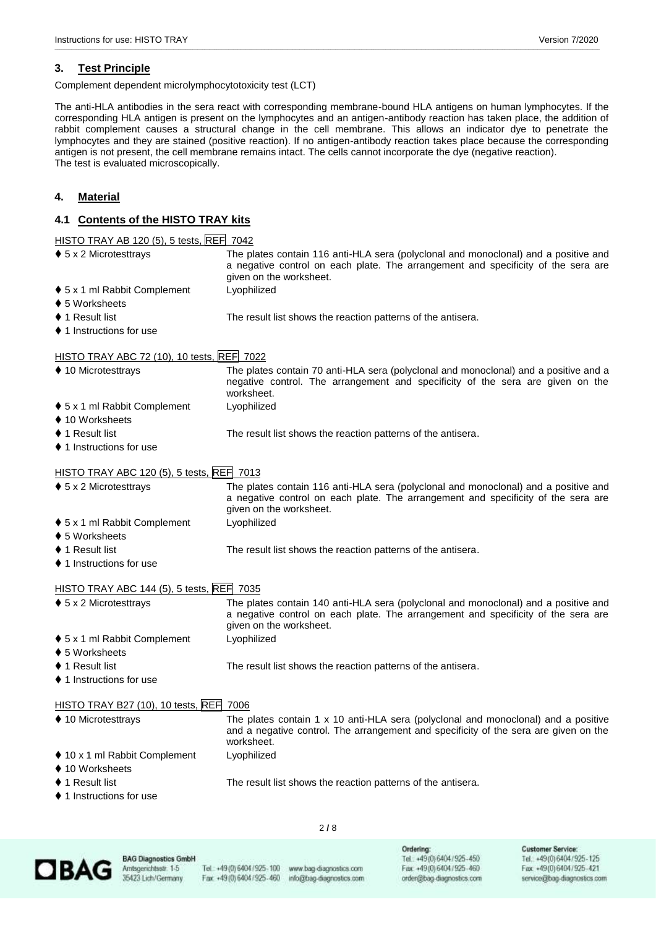#### **3. Test Principle**

Complement dependent microlymphocytotoxicity test (LCT)

The anti-HLA antibodies in the sera react with corresponding membrane-bound HLA antigens on human lymphocytes. If the corresponding HLA antigen is present on the lymphocytes and an antigen-antibody reaction has taken place, the addition of rabbit complement causes a structural change in the cell membrane. This allows an indicator dye to penetrate the lymphocytes and they are stained (positive reaction). If no antigen-antibody reaction takes place because the corresponding antigen is not present, the cell membrane remains intact. The cells cannot incorporate the dye (negative reaction). The test is evaluated microscopically.

\_\_\_\_\_\_\_\_\_\_\_\_\_\_\_\_\_\_\_\_\_\_\_\_\_\_\_\_\_\_\_\_\_\_\_\_\_\_\_\_\_\_\_\_\_\_\_\_\_\_\_\_\_\_\_\_\_\_\_\_\_\_\_\_\_\_\_\_\_\_\_\_\_\_\_\_\_\_\_\_\_\_\_\_\_\_\_\_\_\_\_\_\_\_\_\_\_\_\_\_\_\_\_\_\_\_\_\_\_\_\_\_\_\_\_\_\_\_\_\_\_\_\_\_\_\_\_\_\_\_\_\_\_\_\_\_\_\_\_\_\_\_\_\_\_\_\_\_\_\_\_\_\_\_\_\_\_\_\_\_\_\_\_\_\_\_\_\_\_\_\_\_\_\_\_\_\_\_\_\_\_\_\_\_\_\_\_\_\_\_\_\_\_\_\_\_\_\_\_\_\_\_\_\_\_\_\_\_\_\_\_\_\_\_\_\_\_\_\_\_\_\_\_\_\_\_\_\_\_

#### **4. Material**

#### **4.1 Contents of the HISTO TRAY kits**

#### **HISTO TRAY AB 120 (5), 5 tests, REF 7042**

| $\blacklozenge$ 5 x 2 Microtesttrays       | The plates contain 116 anti-HLA sera (polyclonal and monoclonal) and a positive and<br>a negative control on each plate. The arrangement and specificity of the sera are<br>given on the worksheet. |  |  |
|--------------------------------------------|-----------------------------------------------------------------------------------------------------------------------------------------------------------------------------------------------------|--|--|
| ♦ 5 x 1 ml Rabbit Complement               | Lyophilized                                                                                                                                                                                         |  |  |
| ♦ 5 Worksheets                             |                                                                                                                                                                                                     |  |  |
| $\blacklozenge$ 1 Result list              | The result list shows the reaction patterns of the antisera.                                                                                                                                        |  |  |
| $\blacklozenge$ 1 Instructions for use     |                                                                                                                                                                                                     |  |  |
| HISTO TRAY ABC 72 (10), 10 tests, REF 7022 |                                                                                                                                                                                                     |  |  |
| ♦ 10 Microtesttrays                        | The plates contain 70 anti-HLA sera (polyclonal and monoclonal) and a positive and a<br>negative control. The arrangement and specificity of the sera are given on the<br>worksheet.                |  |  |
| ♦ 5 x 1 ml Rabbit Complement               | Lyophilized                                                                                                                                                                                         |  |  |
| ♦ 10 Worksheets                            |                                                                                                                                                                                                     |  |  |
| $\blacklozenge$ 1 Result list              | The result list shows the reaction patterns of the antisera.                                                                                                                                        |  |  |
| ♦ 1 Instructions for use                   |                                                                                                                                                                                                     |  |  |
| HISTO TRAY ABC 120 (5), 5 tests, REF 7013  |                                                                                                                                                                                                     |  |  |
| $\blacklozenge$ 5 x 2 Microtesttrays       | The plates contain 116 anti-HLA sera (polyclonal and monoclonal) and a positive and<br>a negative control on each plate. The arrangement and specificity of the sera are<br>given on the worksheet. |  |  |
| ♦ 5 x 1 ml Rabbit Complement               | Lyophilized                                                                                                                                                                                         |  |  |
| ♦ 5 Worksheets                             |                                                                                                                                                                                                     |  |  |
| $\blacklozenge$ 1 Result list              | The result list shows the reaction patterns of the antisera.                                                                                                                                        |  |  |
| ♦ 1 Instructions for use                   |                                                                                                                                                                                                     |  |  |
| HISTO TRAY ABC 144 (5), 5 tests, REF 7035  |                                                                                                                                                                                                     |  |  |
| $\blacklozenge$ 5 x 2 Microtesttrays       | The plates contain 140 anti-HLA sera (polyclonal and monoclonal) and a positive and<br>a negative control on each plate. The arrangement and specificity of the sera are<br>given on the worksheet. |  |  |
| ♦ 5 x 1 ml Rabbit Complement               | Lyophilized                                                                                                                                                                                         |  |  |
| ♦ 5 Worksheets                             |                                                                                                                                                                                                     |  |  |
| $\blacklozenge$ 1 Result list              | The result list shows the reaction patterns of the antisera.                                                                                                                                        |  |  |
| ♦ 1 Instructions for use                   |                                                                                                                                                                                                     |  |  |
| HISTO TRAY B27 (10), 10 tests, REF 7006    |                                                                                                                                                                                                     |  |  |
| ♦ 10 Microtesttrays                        | The plates contain 1 x 10 anti-HLA sera (polyclonal and monoclonal) and a positive<br>and a negative control. The arrangement and specificity of the sera are given on the<br>worksheet.            |  |  |
| ♦ 10 x 1 ml Rabbit Complement              | Lyophilized                                                                                                                                                                                         |  |  |
| ♦ 10 Worksheets                            |                                                                                                                                                                                                     |  |  |
| $\blacklozenge$ 1 Result list              | The result list shows the reaction patterns of the antisera.                                                                                                                                        |  |  |
| ♦ 1 Instructions for use                   |                                                                                                                                                                                                     |  |  |

#### 2 **/** 8



**BAG Diagnostics GmbH** Amtsgerichtsstr. 1-5 35423 Lich/Germany

Tel.: +49(0)6404/925-100 www.bag-diagnostics.com Fax: +49 (0) 6404 / 925-460

info@bag-diagnostics.com

Ordering:<br>Tel.: +49(0)6404/925-450 Fax: +49(0) 6404/925-460 order@bag-diagnostics.com

**Customer Service:** Tel.: +49(0)6404/925-125<br>Fax: +49(0)6404/925-421 service@bag-diagnostics.com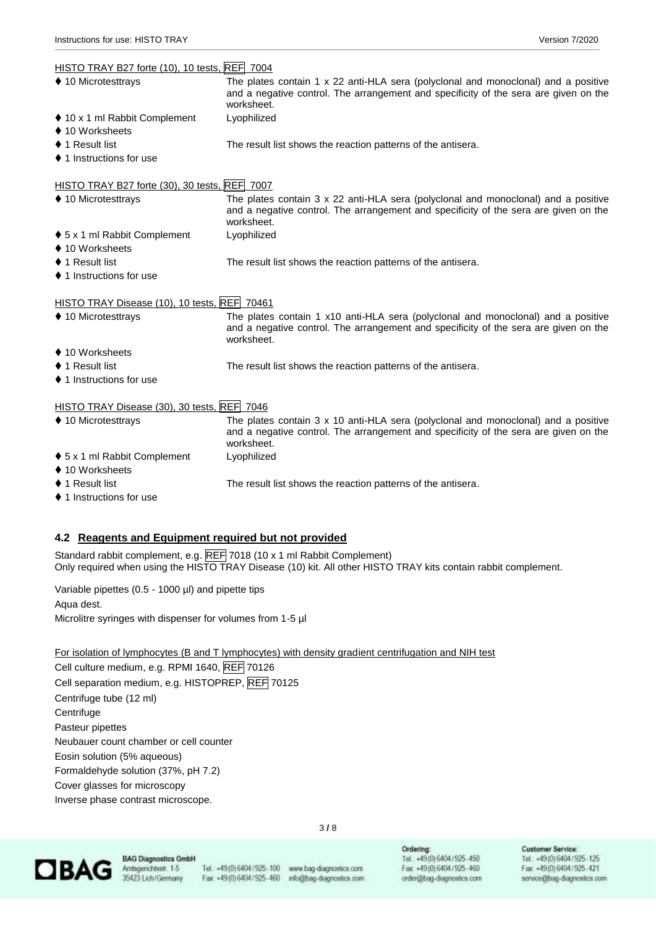### $HISTO TDAV P27$  forte  $(10)$ ,  $10$  tests,  $\overline{DEE}$  7004

| HISTO TRAY B27 TORE (10), 10 TESTS, REFT 7004 |                                                                                                                                                                                                 |
|-----------------------------------------------|-------------------------------------------------------------------------------------------------------------------------------------------------------------------------------------------------|
| ♦ 10 Microtesttrays                           | The plates contain 1 $\times$ 22 anti-HLA sera (polyclonal and monoclonal) and a positive<br>and a negative control. The arrangement and specificity of the sera are given on the<br>worksheet. |
| ♦ 10 x 1 ml Rabbit Complement                 | Lyophilized                                                                                                                                                                                     |
| ♦ 10 Worksheets                               |                                                                                                                                                                                                 |
| $\blacklozenge$ 1 Result list                 | The result list shows the reaction patterns of the antisera.                                                                                                                                    |
| ♦ 1 Instructions for use                      |                                                                                                                                                                                                 |
| HISTO TRAY B27 forte (30), 30 tests, REF 7007 |                                                                                                                                                                                                 |
| ♦ 10 Microtesttrays                           | The plates contain 3 x 22 anti-HLA sera (polyclonal and monoclonal) and a positive<br>and a negative control. The arrangement and specificity of the sera are given on the<br>worksheet.        |
| ♦ 5 x 1 ml Rabbit Complement                  | Lyophilized                                                                                                                                                                                     |
| ♦ 10 Worksheets                               |                                                                                                                                                                                                 |
| $\blacklozenge$ 1 Result list                 | The result list shows the reaction patterns of the antisera.                                                                                                                                    |
| ♦ 1 Instructions for use                      |                                                                                                                                                                                                 |
| HISTO TRAY Disease (10), 10 tests, REF 70461  |                                                                                                                                                                                                 |
| ♦ 10 Microtesttrays                           | The plates contain 1 x10 anti-HLA sera (polyclonal and monoclonal) and a positive<br>and a negative control. The arrangement and specificity of the sera are given on the<br>worksheet.         |
| ♦ 10 Worksheets                               |                                                                                                                                                                                                 |
| ♦ 1 Result list                               | The result list shows the reaction patterns of the antisera.                                                                                                                                    |
| ♦ 1 Instructions for use                      |                                                                                                                                                                                                 |
| HISTO TRAY Disease (30), 30 tests, REF 7046   |                                                                                                                                                                                                 |
| ♦ 10 Microtesttrays                           | The plates contain $3 \times 10$ anti-HLA sera (polyclonal and monoclonal) and a positive<br>and a negative control. The arrangement and specificity of the sera are given on the<br>worksheet. |
| ♦ 5 x 1 ml Rabbit Complement                  | Lyophilized                                                                                                                                                                                     |
| ♦ 10 Worksheets                               |                                                                                                                                                                                                 |

\_\_\_\_\_\_\_\_\_\_\_\_\_\_\_\_\_\_\_\_\_\_\_\_\_\_\_\_\_\_\_\_\_\_\_\_\_\_\_\_\_\_\_\_\_\_\_\_\_\_\_\_\_\_\_\_\_\_\_\_\_\_\_\_\_\_\_\_\_\_\_\_\_\_\_\_\_\_\_\_\_\_\_\_\_\_\_\_\_\_\_\_\_\_\_\_\_\_\_\_\_\_\_\_\_\_\_\_\_\_\_\_\_\_\_\_\_\_\_\_\_\_\_\_\_\_\_\_\_\_\_\_\_\_\_\_\_\_\_\_\_\_\_\_\_\_\_\_\_\_\_\_\_\_\_\_\_\_\_\_\_\_\_\_\_\_\_\_\_\_\_\_\_\_\_\_\_\_\_\_\_\_\_\_\_\_\_\_\_\_\_\_\_\_\_\_\_\_\_\_\_\_\_\_\_\_\_\_\_\_\_\_\_\_\_\_\_\_\_\_\_\_\_\_\_\_\_\_\_

- 
- ◆ 1 Result list the result list shows the reaction patterns of the antisera.
- ♦ 1 Instructions for use

#### **4.2 Reagents and Equipment required but not provided**

Standard rabbit complement, e.g. REF 7018 (10 x 1 ml Rabbit Complement) Only required when using the HISTO TRAY Disease (10) kit. All other HISTO TRAY kits contain rabbit complement.

Variable pipettes (0.5 - 1000 µl) and pipette tips Aqua dest.

Microlitre syringes with dispenser for volumes from 1-5 µl

#### For isolation of lymphocytes (B and T lymphocytes) with density gradient centrifugation and NIH test

Cell culture medium, e.g. RPMI 1640, REF 70126 Cell separation medium, e.g. HISTOPREP, REF 70125 Centrifuge tube (12 ml) **Centrifuge** Pasteur pipettes Neubauer count chamber or cell counter Eosin solution (5% aqueous) Formaldehyde solution (37%, pH 7.2) Cover glasses for microscopy Inverse phase contrast microscope.



**BAG Diagnostics GmbH** Amtsgerichtsstr. 1-5 35423 Lich/Germany

Fax +49 (0) 6404/925-460

Tel.: +49(0)6404/925-100 www.bag-diagnostics.com info@bag-diagnostics.com

3 **/** 8

Ordering: Tel.: +49(0)6404/925-450 Fax: +49(0) 6404/925-460 order@bag-diagnostics.com

#### **Customer Service:** Tel.: +49(0)6404/925-125<br>Fax: +49(0)6404/925-421 service@bag-diagnostics.com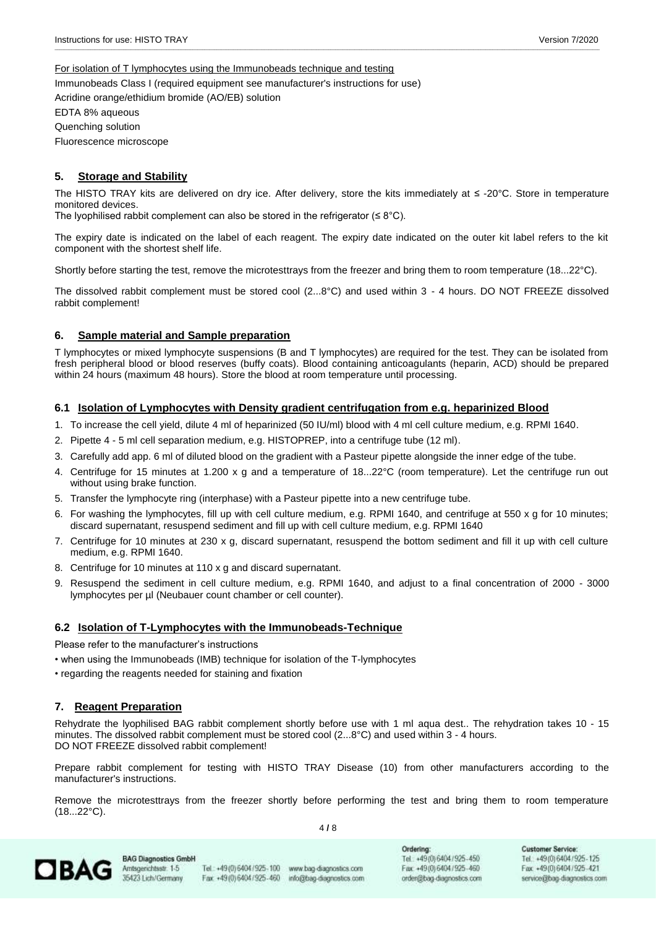#### For isolation of T lymphocytes using the Immunobeads technique and testing

Immunobeads Class I (required equipment see manufacturer's instructions for use) Acridine orange/ethidium bromide (AO/EB) solution

EDTA 8% aqueous

Quenching solution

Fluorescence microscope

#### **5. Storage and Stability**

The HISTO TRAY kits are delivered on dry ice. After delivery, store the kits immediately at ≤ -20°C. Store in temperature monitored devices.

\_\_\_\_\_\_\_\_\_\_\_\_\_\_\_\_\_\_\_\_\_\_\_\_\_\_\_\_\_\_\_\_\_\_\_\_\_\_\_\_\_\_\_\_\_\_\_\_\_\_\_\_\_\_\_\_\_\_\_\_\_\_\_\_\_\_\_\_\_\_\_\_\_\_\_\_\_\_\_\_\_\_\_\_\_\_\_\_\_\_\_\_\_\_\_\_\_\_\_\_\_\_\_\_\_\_\_\_\_\_\_\_\_\_\_\_\_\_\_\_\_\_\_\_\_\_\_\_\_\_\_\_\_\_\_\_\_\_\_\_\_\_\_\_\_\_\_\_\_\_\_\_\_\_\_\_\_\_\_\_\_\_\_\_\_\_\_\_\_\_\_\_\_\_\_\_\_\_\_\_\_\_\_\_\_\_\_\_\_\_\_\_\_\_\_\_\_\_\_\_\_\_\_\_\_\_\_\_\_\_\_\_\_\_\_\_\_\_\_\_\_\_\_\_\_\_\_\_\_

The lyophilised rabbit complement can also be stored in the refrigerator ( $\leq 8^{\circ}$ C).

The expiry date is indicated on the label of each reagent. The expiry date indicated on the outer kit label refers to the kit component with the shortest shelf life.

Shortly before starting the test, remove the microtesttrays from the freezer and bring them to room temperature (18...22°C).

The dissolved rabbit complement must be stored cool (2...8°C) and used within 3 - 4 hours. DO NOT FREEZE dissolved rabbit complement!

#### **6. Sample material and Sample preparation**

T lymphocytes or mixed lymphocyte suspensions (B and T lymphocytes) are required for the test. They can be isolated from fresh peripheral blood or blood reserves (buffy coats). Blood containing anticoagulants (heparin, ACD) should be prepared within 24 hours (maximum 48 hours). Store the blood at room temperature until processing.

#### **6.1 Isolation of Lymphocytes with Density gradient centrifugation from e.g. heparinized Blood**

- 1. To increase the cell yield, dilute 4 ml of heparinized (50 IU/ml) blood with 4 ml cell culture medium, e.g. RPMI 1640.
- 2. Pipette 4 5 ml cell separation medium, e.g. HISTOPREP, into a centrifuge tube (12 ml).
- 3. Carefully add app. 6 ml of diluted blood on the gradient with a Pasteur pipette alongside the inner edge of the tube.
- 4. Centrifuge for 15 minutes at 1.200 x g and a temperature of 18...22°C (room temperature). Let the centrifuge run out without using brake function.
- 5. Transfer the lymphocyte ring (interphase) with a Pasteur pipette into a new centrifuge tube.
- 6. For washing the lymphocytes, fill up with cell culture medium, e.g. RPMI 1640, and centrifuge at 550 x g for 10 minutes; discard supernatant, resuspend sediment and fill up with cell culture medium, e.g. RPMI 1640
- 7. Centrifuge for 10 minutes at 230 x g, discard supernatant, resuspend the bottom sediment and fill it up with cell culture medium, e.g. RPMI 1640.
- 8. Centrifuge for 10 minutes at 110 x g and discard supernatant.
- 9. Resuspend the sediment in cell culture medium, e.g. RPMI 1640, and adjust to a final concentration of 2000 3000 lymphocytes per µl (Neubauer count chamber or cell counter).

#### **6.2 Isolation of T-Lymphocytes with the Immunobeads-Technique**

Please refer to the manufacturer's instructions

- when using the Immunobeads (IMB) technique for isolation of the T-lymphocytes
- regarding the reagents needed for staining and fixation

#### **7. Reagent Preparation**

Rehydrate the lyophilised BAG rabbit complement shortly before use with 1 ml aqua dest.. The rehydration takes 10 - 15 minutes. The dissolved rabbit complement must be stored cool (2...8°C) and used within 3 - 4 hours. DO NOT FREEZE dissolved rabbit complement!

Prepare rabbit complement for testing with HISTO TRAY Disease (10) from other manufacturers according to the manufacturer's instructions.

Remove the microtesttrays from the freezer shortly before performing the test and bring them to room temperature  $(18...22^{\circ}C).$ 

4 **/** 8



**BAG Diagnostics GmbH** Amtsgenichtsstr. 1-5 35423 Lich/Germany

Tel: +49(0)6404/925-100 Fax +49(0)6404/925-460

www.bag-diagnostics.com info@bag-diagnostics.com Ordering: Tel.: +49(0)6404/925-450 Fax: +49(0)6404/925-460 order@bag-diagnostics.com **Customer Service:** Tel. +49(0)6404/925-125 Fax: +49(0)6404/925-421 service@bag-diagnostics.com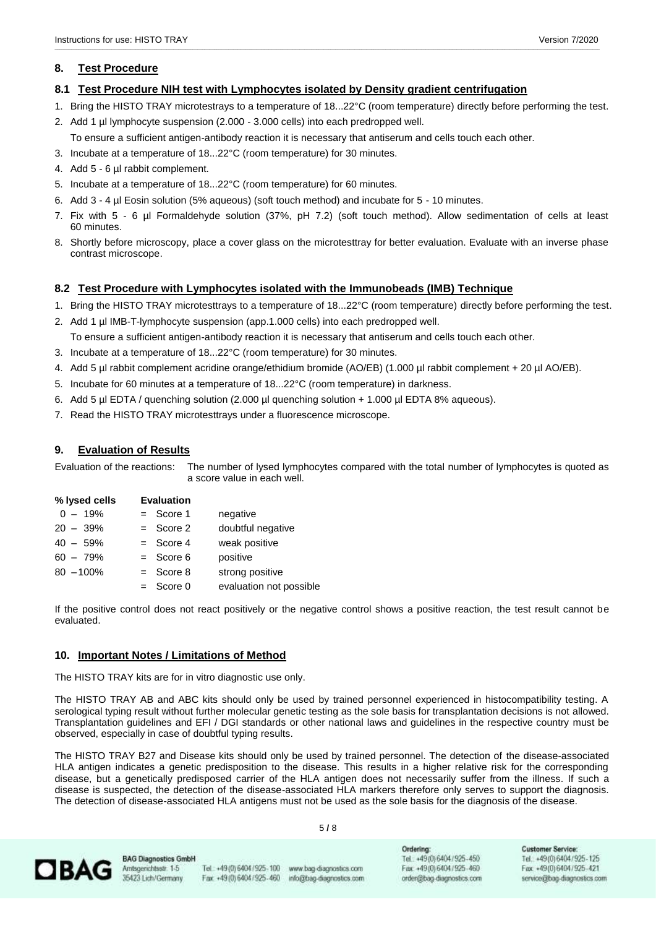#### **8. Test Procedure**

#### **8.1 Test Procedure NIH test with Lymphocytes isolated by Density gradient centrifugation**

1. Bring the HISTO TRAY microtestrays to a temperature of 18...22°C (room temperature) directly before performing the test.

\_\_\_\_\_\_\_\_\_\_\_\_\_\_\_\_\_\_\_\_\_\_\_\_\_\_\_\_\_\_\_\_\_\_\_\_\_\_\_\_\_\_\_\_\_\_\_\_\_\_\_\_\_\_\_\_\_\_\_\_\_\_\_\_\_\_\_\_\_\_\_\_\_\_\_\_\_\_\_\_\_\_\_\_\_\_\_\_\_\_\_\_\_\_\_\_\_\_\_\_\_\_\_\_\_\_\_\_\_\_\_\_\_\_\_\_\_\_\_\_\_\_\_\_\_\_\_\_\_\_\_\_\_\_\_\_\_\_\_\_\_\_\_\_\_\_\_\_\_\_\_\_\_\_\_\_\_\_\_\_\_\_\_\_\_\_\_\_\_\_\_\_\_\_\_\_\_\_\_\_\_\_\_\_\_\_\_\_\_\_\_\_\_\_\_\_\_\_\_\_\_\_\_\_\_\_\_\_\_\_\_\_\_\_\_\_\_\_\_\_\_\_\_\_\_\_\_\_\_

- 2. Add 1 µl lymphocyte suspension (2.000 3.000 cells) into each predropped well.
	- To ensure a sufficient antigen-antibody reaction it is necessary that antiserum and cells touch each other.
- 3. Incubate at a temperature of 18...22°C (room temperature) for 30 minutes.
- 4. Add 5 6 µl rabbit complement.
- 5. Incubate at a temperature of 18...22°C (room temperature) for 60 minutes.
- 6. Add 3 4 µl Eosin solution (5% aqueous) (soft touch method) and incubate for 5 10 minutes.
- 7. Fix with 5 6 µl Formaldehyde solution (37%, pH 7.2) (soft touch method). Allow sedimentation of cells at least 60 minutes.
- 8. Shortly before microscopy, place a cover glass on the microtesttray for better evaluation. Evaluate with an inverse phase contrast microscope.

#### **8.2 Test Procedure with Lymphocytes isolated with the Immunobeads (IMB) Technique**

- 1. Bring the HISTO TRAY microtesttrays to a temperature of 18...22°C (room temperature) directly before performing the test.
- 2. Add 1 µl IMB-T-lymphocyte suspension (app.1.000 cells) into each predropped well. To ensure a sufficient antigen-antibody reaction it is necessary that antiserum and cells touch each other.
- 3. Incubate at a temperature of 18...22°C (room temperature) for 30 minutes.
- 4. Add 5 µl rabbit complement acridine orange/ethidium bromide (AO/EB) (1.000 µl rabbit complement + 20 µl AO/EB).
- 5. Incubate for 60 minutes at a temperature of 18...22°C (room temperature) in darkness.
- 6. Add 5 µl EDTA / quenching solution (2.000 µl quenching solution + 1.000 µl EDTA 8% aqueous).
- 7. Read the HISTO TRAY microtesttrays under a fluorescence microscope.

#### **9. Evaluation of Results**

Evaluation of the reactions: The number of lysed lymphocytes compared with the total number of lymphocytes is quoted as a score value in each well.

| % lysed cells | <b>Evaluation</b> |                         |
|---------------|-------------------|-------------------------|
| $0 - 19%$     | $=$ Score 1       | negative                |
| $20 - 39%$    | $=$ Score 2       | doubtful negative       |
| $40 - 59%$    | $=$ Score 4       | weak positive           |
| $60 - 79%$    | $=$ Score 6       | positive                |
| $80 - 100\%$  | $=$ Score 8       | strong positive         |
|               | $=$ Score 0       | evaluation not possible |

If the positive control does not react positively or the negative control shows a positive reaction, the test result cannot be evaluated.

#### **10. Important Notes / Limitations of Method**

The HISTO TRAY kits are for in vitro diagnostic use only.

The HISTO TRAY AB and ABC kits should only be used by trained personnel experienced in histocompatibility testing. A serological typing result without further molecular genetic testing as the sole basis for transplantation decisions is not allowed. Transplantation guidelines and EFI / DGI standards or other national laws and guidelines in the respective country must be observed, especially in case of doubtful typing results.

The HISTO TRAY B27 and Disease kits should only be used by trained personnel. The detection of the disease-associated HLA antigen indicates a genetic predisposition to the disease. This results in a higher relative risk for the corresponding disease, but a genetically predisposed carrier of the HLA antigen does not necessarily suffer from the illness. If such a disease is suspected, the detection of the disease-associated HLA markers therefore only serves to support the diagnosis. The detection of disease-associated HLA antigens must not be used as the sole basis for the diagnosis of the disease.

5 **/** 8



**BAG Diagnostics GmbH** Amtsgenichtsstr. 1-5 35423 Lich/Germany

Tel: +49(0)6404/925-100 Fax +49(0)6404/925-460

www.bag-diagnostics.com info@bag-diagnostics.com Ordering: Tel.: +49(0)6404/925-450 Fax: +49(0) 6404/925-460 order@bag-diagnostics.com **Customer Service:** Tel. +49(0)6404/925-125 Fax: +49(0)6404/925-421 service@bag-diagnostics.com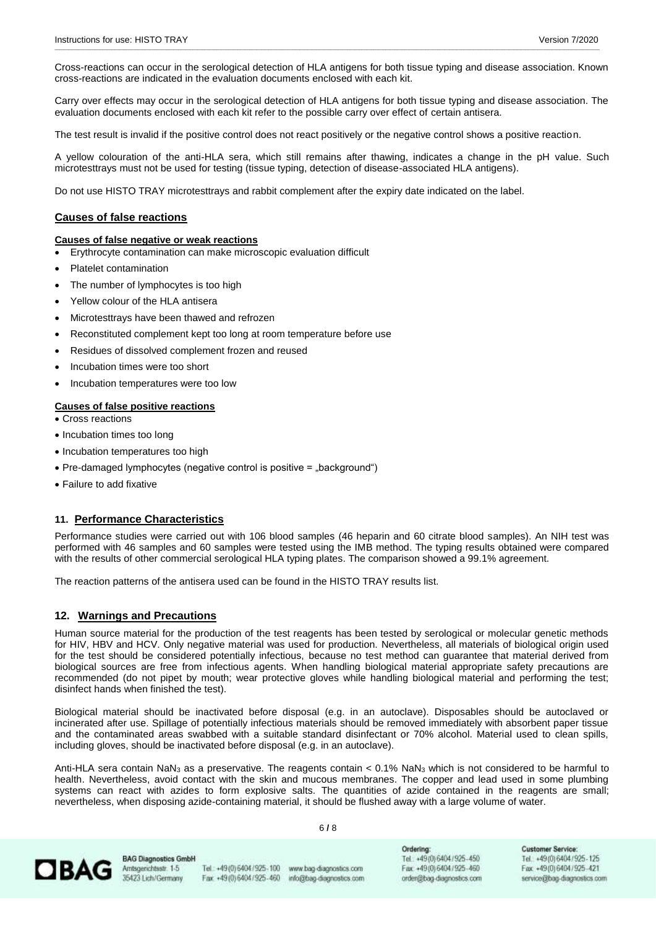Cross-reactions can occur in the serological detection of HLA antigens for both tissue typing and disease association. Known cross-reactions are indicated in the evaluation documents enclosed with each kit.

\_\_\_\_\_\_\_\_\_\_\_\_\_\_\_\_\_\_\_\_\_\_\_\_\_\_\_\_\_\_\_\_\_\_\_\_\_\_\_\_\_\_\_\_\_\_\_\_\_\_\_\_\_\_\_\_\_\_\_\_\_\_\_\_\_\_\_\_\_\_\_\_\_\_\_\_\_\_\_\_\_\_\_\_\_\_\_\_\_\_\_\_\_\_\_\_\_\_\_\_\_\_\_\_\_\_\_\_\_\_\_\_\_\_\_\_\_\_\_\_\_\_\_\_\_\_\_\_\_\_\_\_\_\_\_\_\_\_\_\_\_\_\_\_\_\_\_\_\_\_\_\_\_\_\_\_\_\_\_\_\_\_\_\_\_\_\_\_\_\_\_\_\_\_\_\_\_\_\_\_\_\_\_\_\_\_\_\_\_\_\_\_\_\_\_\_\_\_\_\_\_\_\_\_\_\_\_\_\_\_\_\_\_\_\_\_\_\_\_\_\_\_\_\_\_\_\_\_\_

Carry over effects may occur in the serological detection of HLA antigens for both tissue typing and disease association. The evaluation documents enclosed with each kit refer to the possible carry over effect of certain antisera.

The test result is invalid if the positive control does not react positively or the negative control shows a positive reaction.

A yellow colouration of the anti-HLA sera, which still remains after thawing, indicates a change in the pH value. Such microtesttrays must not be used for testing (tissue typing, detection of disease-associated HLA antigens).

Do not use HISTO TRAY microtesttrays and rabbit complement after the expiry date indicated on the label.

#### **Causes of false reactions**

#### **Causes of false negative or weak reactions**

- Erythrocyte contamination can make microscopic evaluation difficult
- Platelet contamination
- The number of lymphocytes is too high
- Yellow colour of the HLA antisera
- Microtesttrays have been thawed and refrozen
- Reconstituted complement kept too long at room temperature before use
- Residues of dissolved complement frozen and reused
- Incubation times were too short
- Incubation temperatures were too low

#### **Causes of false positive reactions**

• Cross reactions

- Incubation times too long
- Incubation temperatures too high
- Pre-damaged lymphocytes (negative control is positive = ..background")
- Failure to add fixative

#### **11. Performance Characteristics**

Performance studies were carried out with 106 blood samples (46 heparin and 60 citrate blood samples). An NIH test was performed with 46 samples and 60 samples were tested using the IMB method. The typing results obtained were compared with the results of other commercial serological HLA typing plates. The comparison showed a 99.1% agreement.

The reaction patterns of the antisera used can be found in the HISTO TRAY results list.

#### **12. Warnings and Precautions**

Human source material for the production of the test reagents has been tested by serological or molecular genetic methods for HIV, HBV and HCV. Only negative material was used for production. Nevertheless, all materials of biological origin used for the test should be considered potentially infectious, because no test method can guarantee that material derived from biological sources are free from infectious agents. When handling biological material appropriate safety precautions are recommended (do not pipet by mouth; wear protective gloves while handling biological material and performing the test; disinfect hands when finished the test).

Biological material should be inactivated before disposal (e.g. in an autoclave). Disposables should be autoclaved or incinerated after use. Spillage of potentially infectious materials should be removed immediately with absorbent paper tissue and the contaminated areas swabbed with a suitable standard disinfectant or 70% alcohol. Material used to clean spills, including gloves, should be inactivated before disposal (e.g. in an autoclave).

Anti-HLA sera contain NaN<sub>3</sub> as a preservative. The reagents contain < 0.1% NaN<sub>3</sub> which is not considered to be harmful to health. Nevertheless, avoid contact with the skin and mucous membranes. The copper and lead used in some plumbing systems can react with azides to form explosive salts. The quantities of azide contained in the reagents are small; nevertheless, when disposing azide-containing material, it should be flushed away with a large volume of water.

6 **/** 8



**BAG Diagnostics GmbH** Amtsgenichtsstr. 1-5 35423 Lich/Germany

Tel: +49(0)6404/925-100 Fax +49(0)6404/925-460

www.bag-diagnostics.com info@bag-diagnostics.com Ordering: Tel. +49(0)6404/925-450 Fax: +49(0) 6404/925-460 orden@bag-diagnostics.com **Customer Service:** Tel. +49(0) 6404/925-125 Fax: +49(0)6404/925-421 service@bag-diagnostics.com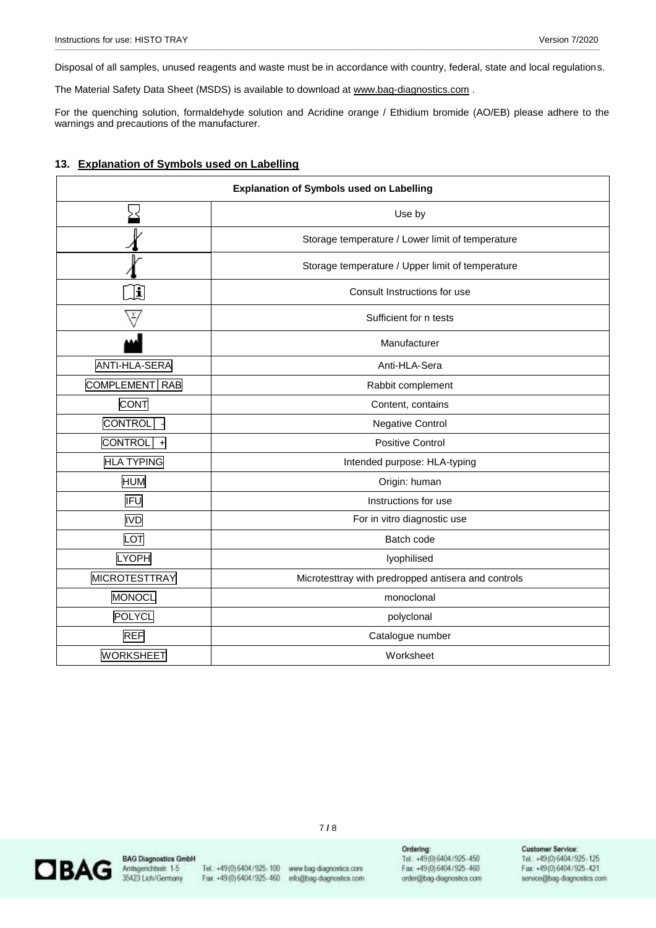\_\_\_\_\_\_\_\_\_\_\_\_\_\_\_\_\_\_\_\_\_\_\_\_\_\_\_\_\_\_\_\_\_\_\_\_\_\_\_\_\_\_\_\_\_\_\_\_\_\_\_\_\_\_\_\_\_\_\_\_\_\_\_\_\_\_\_\_\_\_\_\_\_\_\_\_\_\_\_\_\_\_\_\_\_\_\_\_\_\_\_\_\_\_\_\_\_\_\_\_\_\_\_\_\_\_\_\_\_\_\_\_\_\_\_\_\_\_\_\_\_\_\_\_\_\_\_\_\_\_\_\_\_\_\_\_\_\_\_\_\_\_\_\_\_\_\_\_\_\_\_\_\_\_\_\_\_\_\_\_\_\_\_\_\_\_\_\_\_\_\_\_\_\_\_\_\_\_\_\_\_\_\_\_\_\_\_\_\_\_\_\_\_\_\_\_\_\_\_\_\_\_\_\_\_\_\_\_\_\_\_\_\_\_\_\_\_\_\_\_\_\_\_\_\_\_\_\_\_ Disposal of all samples, unused reagents and waste must be in accordance with country, federal, state and local regulations.

The Material Safety Data Sheet (MSDS) is available to download at [www.bag-diagnostics.com](http://www.bag-diagnostics.com/).

For the quenching solution, formaldehyde solution and Acridine orange / Ethidium bromide (AO/EB) please adhere to the warnings and precautions of the manufacturer.

#### **13. Explanation of Symbols used on Labelling**

| <b>Explanation of Symbols used on Labelling</b> |                                                     |  |  |  |
|-------------------------------------------------|-----------------------------------------------------|--|--|--|
|                                                 | Use by                                              |  |  |  |
|                                                 | Storage temperature / Lower limit of temperature    |  |  |  |
|                                                 | Storage temperature / Upper limit of temperature    |  |  |  |
| $ \mathbf{i} $                                  | Consult Instructions for use                        |  |  |  |
|                                                 | Sufficient for n tests                              |  |  |  |
|                                                 | Manufacturer                                        |  |  |  |
| ANTI-HLA-SERA                                   | Anti-HLA-Sera                                       |  |  |  |
| COMPLEMENT RAB                                  | Rabbit complement                                   |  |  |  |
| <b>CONT</b>                                     | Content, contains                                   |  |  |  |
| <b>CONTROL</b>                                  | <b>Negative Control</b>                             |  |  |  |
| <b>CONTROL</b><br>$\ddot{}$                     | <b>Positive Control</b>                             |  |  |  |
| <b>HLA TYPING</b>                               | Intended purpose: HLA-typing                        |  |  |  |
| <b>HUM</b>                                      | Origin: human                                       |  |  |  |
| <b>IFU</b>                                      | Instructions for use                                |  |  |  |
| <b>IVD</b>                                      | For in vitro diagnostic use                         |  |  |  |
| LOT                                             | Batch code                                          |  |  |  |
| <b>LYOPH</b>                                    | lyophilised                                         |  |  |  |
| <b>MICROTESTTRAY</b>                            | Microtesttray with predropped antisera and controls |  |  |  |
| MONOCL                                          | monoclonal                                          |  |  |  |
| <b>POLYCL</b>                                   | polyclonal                                          |  |  |  |
| <b>REF</b>                                      | Catalogue number                                    |  |  |  |
| <b>WORKSHEET</b>                                | Worksheet                                           |  |  |  |



**BAG Diagnostics GmbH** Amtsgerichtsstr. 1-5 35423 Lich/Germany

Fax: +49(0)6404/925-460

Tel: +49(0)6404/925-100 www.bag-diagnostics.com info@bag-diagnostics.com

7 **/** 8

Ordering:<br>Tel.: +49(0)6404/925-450<br>Fax: +49(0)6404/925-460 order@bag-diagnostics.com

### Customer Service:<br>Tel.: +49(0)6404/925-125<br>Fax: +49(0)6404/925-421 service@bag-diagnostics.com